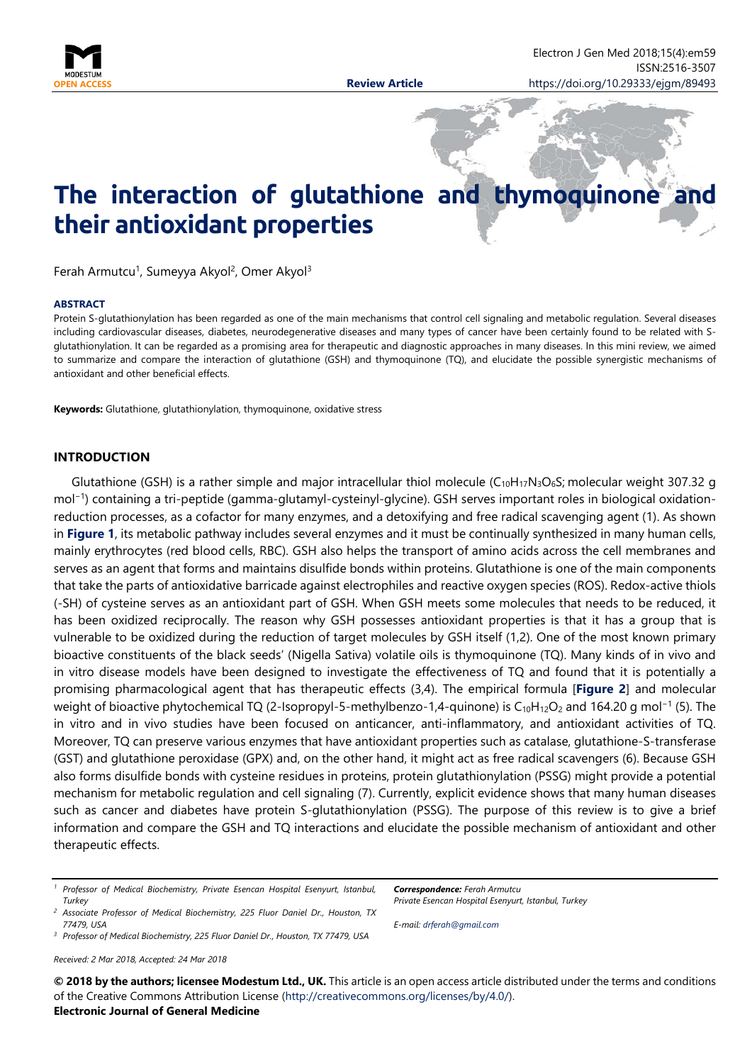

# **The interaction of glutathione and thymoquinone and their antioxidant properties**

Ferah Armutcu<sup>1</sup>, Sumeyya Akyol<sup>2</sup>, Omer Akyol<sup>3</sup>

#### **ABSTRACT**

Protein S-glutathionylation has been regarded as one of the main mechanisms that control cell signaling and metabolic regulation. Several diseases including cardiovascular diseases, diabetes, neurodegenerative diseases and many types of cancer have been certainly found to be related with Sglutathionylation. It can be regarded as a promising area for therapeutic and diagnostic approaches in many diseases. In this mini review, we aimed to summarize and compare the interaction of glutathione (GSH) and thymoquinone (TQ), and elucidate the possible synergistic mechanisms of antioxidant and other beneficial effects.

**Keywords:** Glutathione, glutathionylation, thymoquinone, oxidative stress

#### **INTRODUCTION**

Glutathione (GSH) is a rather simple and major intracellular thiol molecule ( $C_{10}H_{17}N_3O_6S$ ; molecular weight 307.32 g mol−1) containing a tri-peptide (gamma-glutamyl-cysteinyl-glycine). GSH serves important roles in biological oxidationreduction processes, as a cofactor for many enzymes, and a detoxifying and free radical scavenging agent (1). As shown in **Figure 1**, its metabolic pathway includes several enzymes and it must be continually synthesized in many human cells, mainly erythrocytes (red blood cells, RBC). GSH also helps the transport of amino acids across the cell membranes and serves as an agent that forms and maintains disulfide bonds within proteins. Glutathione is one of the main components that take the parts of antioxidative barricade against electrophiles and reactive oxygen species (ROS). Redox-active thiols (-SH) of cysteine serves as an antioxidant part of GSH. When GSH meets some molecules that needs to be reduced, it has been oxidized reciprocally. The reason why GSH possesses antioxidant properties is that it has a group that is vulnerable to be oxidized during the reduction of target molecules by GSH itself (1,2). One of the most known primary bioactive constituents of the black seeds' (Nigella Sativa) volatile oils is thymoquinone (TQ). Many kinds of in vivo and in vitro disease models have been designed to investigate the effectiveness of TQ and found that it is potentially a promising pharmacological agent that has therapeutic effects (3,4). The empirical formula [**Figure 2**] and molecular weight of bioactive phytochemical TQ (2-Isopropyl-5-methylbenzo-1,4-quinone) is C<sub>10</sub>H<sub>12</sub>O<sub>2</sub> and 164.20 g mol<sup>-1</sup> (5). The in vitro and in vivo studies have been focused on anticancer, anti-inflammatory, and antioxidant activities of TQ. Moreover, TQ can preserve various enzymes that have antioxidant properties such as catalase, glutathione-S-transferase (GST) and glutathione peroxidase (GPX) and, on the other hand, it might act as free radical scavengers (6). Because GSH also forms disulfide bonds with cysteine residues in proteins, protein glutathionylation (PSSG) might provide a potential mechanism for metabolic regulation and cell signaling (7). Currently, explicit evidence shows that many human diseases such as cancer and diabetes have protein S-glutathionylation (PSSG). The purpose of this review is to give a brief information and compare the GSH and TQ interactions and elucidate the possible mechanism of antioxidant and other therapeutic effects.

*<sup>3</sup> Professor of Medical Biochemistry, 225 Fluor Daniel Dr., Houston, TX 77479, USA*

*Received: 2 Mar 2018, Accepted: 24 Mar 2018*

*Correspondence: Ferah Armutcu Private Esencan Hospital Esenyurt, Istanbul, Turkey*

*E-mail: [drferah@gmail.com](mailto:drferah@gmail.com)*

**© 2018 by the authors; licensee Modestum Ltd., UK.** This article is an open access article distributed under the terms and conditions of the Creative Commons Attribution License [\(http://creativecommons.org/licenses/by/4.0/\)](http://creativecommons.org/licenses/by/4.0/). **Electronic Journal of General Medicine**

*<sup>1</sup> Professor of Medical Biochemistry, Private Esencan Hospital Esenyurt, Istanbul, Turkey*

*<sup>2</sup> Associate Professor of Medical Biochemistry, 225 Fluor Daniel Dr., Houston, TX 77479, USA*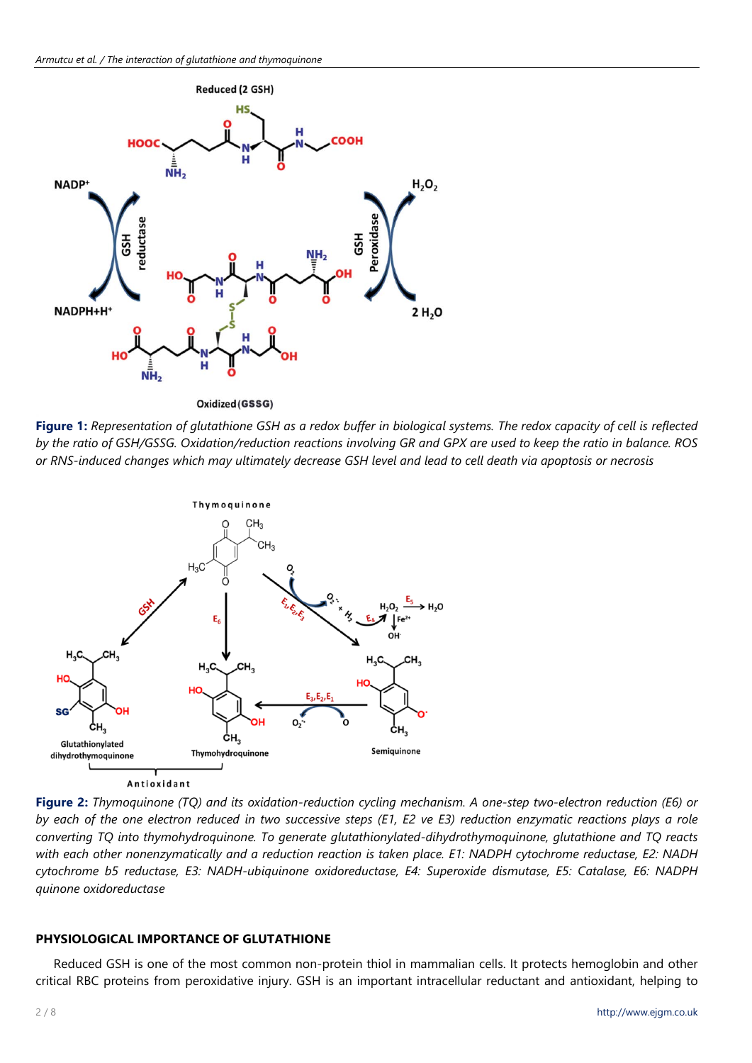

**Figure 1:** *Representation of glutathione GSH as a redox buffer in biological systems. The redox capacity of cell is reflected by the ratio of GSH/GSSG. Oxidation/reduction reactions involving GR and GPX are used to keep the ratio in balance. ROS or RNS-induced changes which may ultimately decrease GSH level and lead to cell death via apoptosis or necrosis*



**Figure 2:** *Thymoquinone (TQ) and its oxidation-reduction cycling mechanism. A one-step two-electron reduction (E6) or by each of the one electron reduced in two successive steps (E1, E2 ve E3) reduction enzymatic reactions plays a role converting TQ into thymohydroquinone. To generate glutathionylated-dihydrothymoquinone, glutathione and TQ reacts with each other nonenzymatically and a reduction reaction is taken place. E1: NADPH cytochrome reductase, E2: NADH cytochrome b5 reductase, E3: NADH-ubiquinone oxidoreductase, E4: Superoxide dismutase, E5: Catalase, E6: NADPH quinone oxidoreductase*

# **PHYSIOLOGICAL IMPORTANCE OF GLUTATHIONE**

Reduced GSH is one of the most common non-protein thiol in mammalian cells. It protects hemoglobin and other critical RBC proteins from peroxidative injury. GSH is an important intracellular reductant and antioxidant, helping to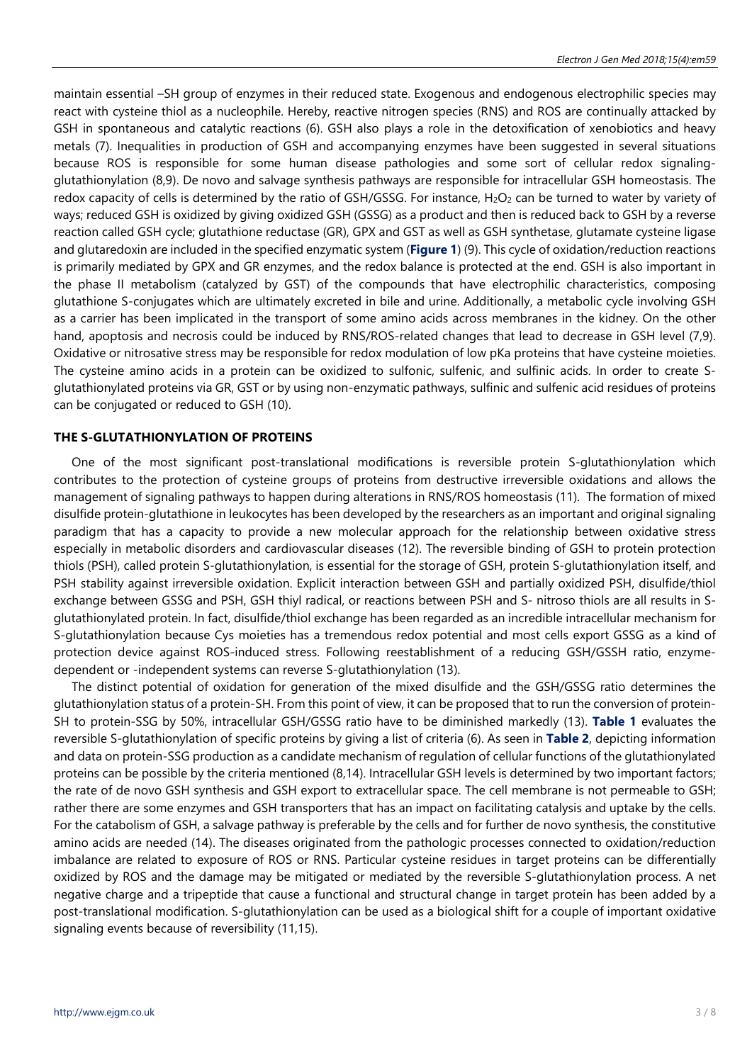maintain essential –SH group of enzymes in their reduced state. Exogenous and endogenous electrophilic species may react with cysteine thiol as a nucleophile. Hereby, reactive nitrogen species (RNS) and ROS are continually attacked by GSH in spontaneous and catalytic reactions (6). GSH also plays a role in the detoxification of xenobiotics and heavy metals (7). Inequalities in production of GSH and accompanying enzymes have been suggested in several situations because ROS is responsible for some human disease pathologies and some sort of cellular redox signalingglutathionylation (8,9). De novo and salvage synthesis pathways are responsible for intracellular GSH homeostasis. The redox capacity of cells is determined by the ratio of GSH/GSSG. For instance,  $H_2O_2$  can be turned to water by variety of ways; reduced GSH is oxidized by giving oxidized GSH (GSSG) as a product and then is reduced back to GSH by a reverse reaction called GSH cycle; glutathione reductase (GR), GPX and GST as well as GSH synthetase, glutamate cysteine ligase and glutaredoxin are included in the specified enzymatic system (**Figure 1**) (9). This cycle of oxidation/reduction reactions is primarily mediated by GPX and GR enzymes, and the redox balance is protected at the end. GSH is also important in the phase II metabolism (catalyzed by GST) of the compounds that have electrophilic characteristics, composing glutathione S-conjugates which are ultimately excreted in bile and urine. Additionally, a metabolic cycle involving GSH as a carrier has been implicated in the transport of some amino acids across membranes in the kidney. On the other hand, apoptosis and necrosis could be induced by RNS/ROS-related changes that lead to decrease in GSH level (7,9). Oxidative or nitrosative stress may be responsible for redox modulation of low pKa proteins that have cysteine moieties. The cysteine amino acids in a protein can be oxidized to sulfonic, sulfenic, and sulfinic acids. In order to create Sglutathionylated proteins via GR, GST or by using non-enzymatic pathways, sulfinic and sulfenic acid residues of proteins can be conjugated or reduced to GSH (10).

#### **THE S-GLUTATHIONYLATION OF PROTEINS**

One of the most significant post-translational modifications is reversible protein S-glutathionylation which contributes to the protection of cysteine groups of proteins from destructive irreversible oxidations and allows the management of signaling pathways to happen during alterations in RNS/ROS homeostasis (11). The formation of mixed disulfide protein-glutathione in leukocytes has been developed by the researchers as an important and original signaling paradigm that has a capacity to provide a new molecular approach for the relationship between oxidative stress especially in metabolic disorders and cardiovascular diseases (12). The reversible binding of GSH to protein protection thiols (PSH), called protein S-glutathionylation, is essential for the storage of GSH, protein S-glutathionylation itself, and PSH stability against irreversible oxidation. Explicit interaction between GSH and partially oxidized PSH, disulfide/thiol exchange between GSSG and PSH, GSH thiyl radical, or reactions between PSH and S- nitroso thiols are all results in Sglutathionylated protein. In fact, disulfide/thiol exchange has been regarded as an incredible intracellular mechanism for S-glutathionylation because Cys moieties has a tremendous redox potential and most cells export GSSG as a kind of protection device against ROS-induced stress. Following reestablishment of a reducing GSH/GSSH ratio, enzymedependent or -independent systems can reverse S-glutathionylation (13).

The distinct potential of oxidation for generation of the mixed disulfide and the GSH/GSSG ratio determines the glutathionylation status of a protein-SH. From this point of view, it can be proposed that to run the conversion of protein-SH to protein-SSG by 50%, intracellular GSH/GSSG ratio have to be diminished markedly (13). **Table 1** evaluates the reversible S-glutathionylation of specific proteins by giving a list of criteria (6). As seen in **Table 2**, depicting information and data on protein-SSG production as a candidate mechanism of regulation of cellular functions of the glutathionylated proteins can be possible by the criteria mentioned (8,14). Intracellular GSH levels is determined by two important factors; the rate of de novo GSH synthesis and GSH export to extracellular space. The cell membrane is not permeable to GSH; rather there are some enzymes and GSH transporters that has an impact on facilitating catalysis and uptake by the cells. For the catabolism of GSH, a salvage pathway is preferable by the cells and for further de novo synthesis, the constitutive amino acids are needed (14). The diseases originated from the pathologic processes connected to oxidation/reduction imbalance are related to exposure of ROS or RNS. Particular cysteine residues in target proteins can be differentially oxidized by ROS and the damage may be mitigated or mediated by the reversible S-glutathionylation process. A net negative charge and a tripeptide that cause a functional and structural change in target protein has been added by a post-translational modification. S-glutathionylation can be used as a biological shift for a couple of important oxidative signaling events because of reversibility (11,15).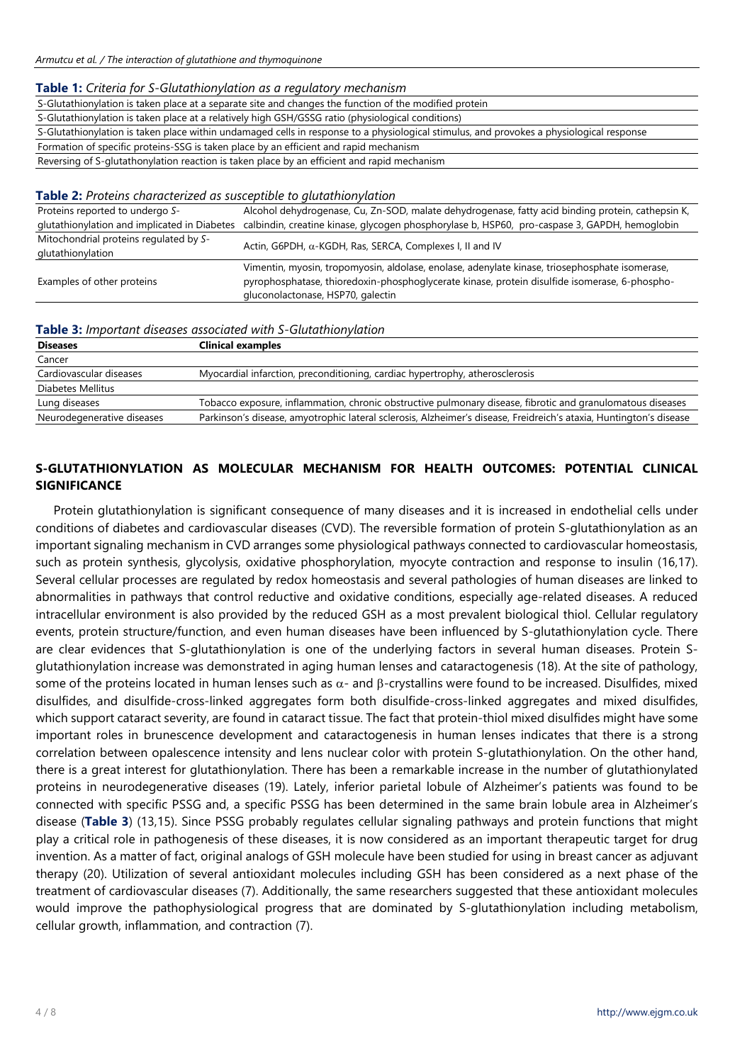#### **Table 1:** *Criteria for S-Glutathionylation as a regulatory mechanism*

S-Glutathionylation is taken place at a separate site and changes the function of the modified protein

S-Glutathionylation is taken place at a relatively high GSH/GSSG ratio (physiological conditions)

S-Glutathionylation is taken place within undamaged cells in response to a physiological stimulus, and provokes a physiological response Formation of specific proteins-SSG is taken place by an efficient and rapid mechanism

Reversing of S-glutathonylation reaction is taken place by an efficient and rapid mechanism

#### **Table 2:** *Proteins characterized as susceptible to glutathionylation*

| Proteins reported to undergo S-              | Alcohol dehydrogenase, Cu, Zn-SOD, malate dehydrogenase, fatty acid binding protein, cathepsin K,                                                                                                                                    |
|----------------------------------------------|--------------------------------------------------------------------------------------------------------------------------------------------------------------------------------------------------------------------------------------|
| glutathionylation and implicated in Diabetes | calbindin, creatine kinase, glycogen phosphorylase b, HSP60, pro-caspase 3, GAPDH, hemoglobin                                                                                                                                        |
| Mitochondrial proteins regulated by S-       | Actin, G6PDH, $\alpha$ -KGDH, Ras, SERCA, Complexes I, II and IV                                                                                                                                                                     |
| glutathionylation                            |                                                                                                                                                                                                                                      |
| Examples of other proteins                   | Vimentin, myosin, tropomyosin, aldolase, enolase, adenylate kinase, triosephosphate isomerase,<br>pyrophosphatase, thioredoxin-phosphoglycerate kinase, protein disulfide isomerase, 6-phospho-<br>gluconolactonase, HSP70, galectin |

#### **Table 3:** *Important diseases associated with S-Glutathionylation*

| <b>Diseases</b>            | <b>Clinical examples</b>                                                                                           |
|----------------------------|--------------------------------------------------------------------------------------------------------------------|
| Cancer                     |                                                                                                                    |
| Cardiovascular diseases    | Myocardial infarction, preconditioning, cardiac hypertrophy, atherosclerosis                                       |
| Diabetes Mellitus          |                                                                                                                    |
| Lung diseases              | Tobacco exposure, inflammation, chronic obstructive pulmonary disease, fibrotic and granulomatous diseases         |
| Neurodegenerative diseases | Parkinson's disease, amyotrophic lateral sclerosis, Alzheimer's disease, Freidreich's ataxia, Huntington's disease |

# **S-GLUTATHIONYLATION AS MOLECULAR MECHANISM FOR HEALTH OUTCOMES: POTENTIAL CLINICAL SIGNIFICANCE**

Protein glutathionylation is significant consequence of many diseases and it is increased in endothelial cells under conditions of diabetes and cardiovascular diseases (CVD). The reversible formation of protein S-glutathionylation as an important signaling mechanism in CVD arranges some physiological pathways connected to cardiovascular homeostasis, such as protein synthesis, glycolysis, oxidative phosphorylation, myocyte contraction and response to insulin (16,17). Several cellular processes are regulated by redox homeostasis and several pathologies of human diseases are linked to abnormalities in pathways that control reductive and oxidative conditions, especially age-related diseases. A reduced intracellular environment is also provided by the reduced GSH as a most prevalent biological thiol. Cellular regulatory events, protein structure/function, and even human diseases have been influenced by S-glutathionylation cycle. There are clear evidences that S-glutathionylation is one of the underlying factors in several human diseases. Protein Sglutathionylation increase was demonstrated in aging human lenses and cataractogenesis (18). At the site of pathology, some of the proteins located in human lenses such as  $α-$  and  $β-crystallins$  were found to be increased. Disulfides, mixed disulfides, and disulfide-cross-linked aggregates form both disulfide-cross-linked aggregates and mixed disulfides, which support cataract severity, are found in cataract tissue. The fact that protein-thiol mixed disulfides might have some important roles in brunescence development and cataractogenesis in human lenses indicates that there is a strong correlation between opalescence intensity and lens nuclear color with protein S-glutathionylation. On the other hand, there is a great interest for glutathionylation. There has been a remarkable increase in the number of glutathionylated proteins in neurodegenerative diseases (19). Lately, inferior parietal lobule of Alzheimer's patients was found to be connected with specific PSSG and, a specific PSSG has been determined in the same brain lobule area in Alzheimer's disease (**Table 3**) (13,15). Since PSSG probably regulates cellular signaling pathways and protein functions that might play a critical role in pathogenesis of these diseases, it is now considered as an important therapeutic target for drug invention. As a matter of fact, original analogs of GSH molecule have been studied for using in breast cancer as adjuvant therapy (20). Utilization of several antioxidant molecules including GSH has been considered as a next phase of the treatment of cardiovascular diseases (7). Additionally, the same researchers suggested that these antioxidant molecules would improve the pathophysiological progress that are dominated by S-glutathionylation including metabolism, cellular growth, inflammation, and contraction (7).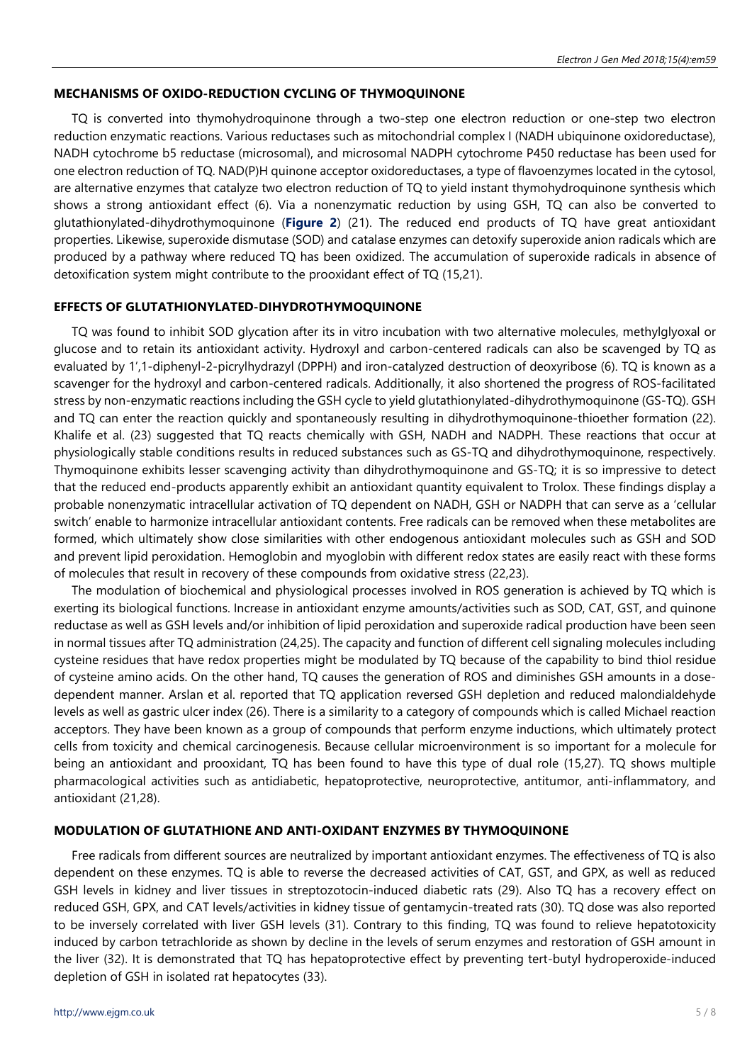#### **MECHANISMS OF OXIDO-REDUCTION CYCLING OF THYMOQUINONE**

TQ is converted into thymohydroquinone through a two-step one electron reduction or one-step two electron reduction enzymatic reactions. Various reductases such as mitochondrial complex I (NADH ubiquinone oxidoreductase), NADH cytochrome b5 reductase (microsomal), and microsomal NADPH cytochrome P450 reductase has been used for one electron reduction of TQ. NAD(P)H quinone acceptor oxidoreductases, a type of flavoenzymes located in the cytosol, are alternative enzymes that catalyze two electron reduction of TQ to yield instant thymohydroquinone synthesis which shows a strong antioxidant effect (6). Via a nonenzymatic reduction by using GSH, TQ can also be converted to glutathionylated-dihydrothymoquinone (**Figure 2**) (21). The reduced end products of TQ have great antioxidant properties. Likewise, superoxide dismutase (SOD) and catalase enzymes can detoxify superoxide anion radicals which are produced by a pathway where reduced TQ has been oxidized. The accumulation of superoxide radicals in absence of detoxification system might contribute to the prooxidant effect of TQ (15,21).

#### **EFFECTS OF GLUTATHIONYLATED-DIHYDROTHYMOQUINONE**

TQ was found to inhibit SOD glycation after its in vitro incubation with two alternative molecules, methylglyoxal or glucose and to retain its antioxidant activity. Hydroxyl and carbon-centered radicals can also be scavenged by TQ as evaluated by 1',1-diphenyl-2-picrylhydrazyl (DPPH) and iron-catalyzed destruction of deoxyribose (6). TQ is known as a scavenger for the hydroxyl and carbon-centered radicals. Additionally, it also shortened the progress of ROS-facilitated stress by non-enzymatic reactions including the GSH cycle to yield glutathionylated-dihydrothymoquinone (GS-TQ). GSH and TQ can enter the reaction quickly and spontaneously resulting in dihydrothymoquinone-thioether formation (22). Khalife et al. (23) suggested that TQ reacts chemically with GSH, NADH and NADPH. These reactions that occur at physiologically stable conditions results in reduced substances such as GS-TQ and dihydrothymoquinone, respectively. Thymoquinone exhibits lesser scavenging activity than dihydrothymoquinone and GS-TQ; it is so impressive to detect that the reduced end-products apparently exhibit an antioxidant quantity equivalent to Trolox. These findings display a probable nonenzymatic intracellular activation of TQ dependent on NADH, GSH or NADPH that can serve as a 'cellular switch' enable to harmonize intracellular antioxidant contents. Free radicals can be removed when these metabolites are formed, which ultimately show close similarities with other endogenous antioxidant molecules such as GSH and SOD and prevent lipid peroxidation. Hemoglobin and myoglobin with different redox states are easily react with these forms of molecules that result in recovery of these compounds from oxidative stress (22,23).

The modulation of biochemical and physiological processes involved in ROS generation is achieved by TQ which is exerting its biological functions. Increase in antioxidant enzyme amounts/activities such as SOD, CAT, GST, and quinone reductase as well as GSH levels and/or inhibition of lipid peroxidation and superoxide radical production have been seen in normal tissues after TQ administration (24,25). The capacity and function of different cell signaling molecules including cysteine residues that have redox properties might be modulated by TQ because of the capability to bind thiol residue of cysteine amino acids. On the other hand, TQ causes the generation of ROS and diminishes GSH amounts in a dosedependent manner. Arslan et al. reported that TQ application reversed GSH depletion and reduced malondialdehyde levels as well as gastric ulcer index (26). There is a similarity to a category of compounds which is called Michael reaction acceptors. They have been known as a group of compounds that perform enzyme inductions, which ultimately protect cells from toxicity and chemical carcinogenesis. Because cellular microenvironment is so important for a molecule for being an antioxidant and prooxidant, TQ has been found to have this type of dual role (15,27). TQ shows multiple pharmacological activities such as antidiabetic, hepatoprotective, neuroprotective, antitumor, anti-inflammatory, and antioxidant (21,28).

#### **MODULATION OF GLUTATHIONE AND ANTI-OXIDANT ENZYMES BY THYMOQUINONE**

Free radicals from different sources are neutralized by important antioxidant enzymes. The effectiveness of TQ is also dependent on these enzymes. TQ is able to reverse the decreased activities of CAT, GST, and GPX, as well as reduced GSH levels in kidney and liver tissues in streptozotocin-induced diabetic rats (29). Also TQ has a recovery effect on reduced GSH, GPX, and CAT levels/activities in kidney tissue of gentamycin-treated rats (30). TQ dose was also reported to be inversely correlated with liver GSH levels (31). Contrary to this finding, TQ was found to relieve hepatotoxicity induced by carbon tetrachloride as shown by decline in the levels of serum enzymes and restoration of GSH amount in the liver (32). It is demonstrated that TQ has hepatoprotective effect by preventing tert-butyl hydroperoxide-induced depletion of GSH in isolated rat hepatocytes (33).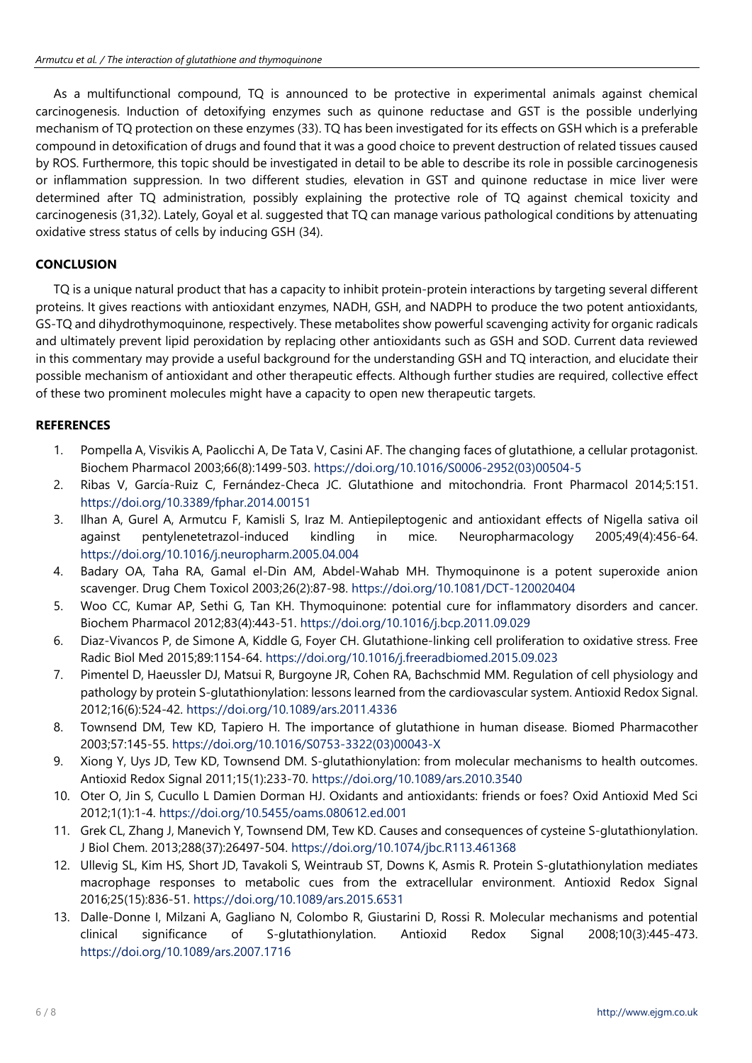As a multifunctional compound, TQ is announced to be protective in experimental animals against chemical carcinogenesis. Induction of detoxifying enzymes such as quinone reductase and GST is the possible underlying mechanism of TQ protection on these enzymes (33). TQ has been investigated for its effects on GSH which is a preferable compound in detoxification of drugs and found that it was a good choice to prevent destruction of related tissues caused by ROS. Furthermore, this topic should be investigated in detail to be able to describe its role in possible carcinogenesis or inflammation suppression. In two different studies, elevation in GST and quinone reductase in mice liver were determined after TQ administration, possibly explaining the protective role of TQ against chemical toxicity and carcinogenesis (31,32). Lately, Goyal et al. suggested that TQ can manage various pathological conditions by attenuating oxidative stress status of cells by inducing GSH (34).

## **CONCLUSION**

TQ is a unique natural product that has a capacity to inhibit protein-protein interactions by targeting several different proteins. It gives reactions with antioxidant enzymes, NADH, GSH, and NADPH to produce the two potent antioxidants, GS-TQ and dihydrothymoquinone, respectively. These metabolites show powerful scavenging activity for organic radicals and ultimately prevent lipid peroxidation by replacing other antioxidants such as GSH and SOD. Current data reviewed in this commentary may provide a useful background for the understanding GSH and TQ interaction, and elucidate their possible mechanism of antioxidant and other therapeutic effects. Although further studies are required, collective effect of these two prominent molecules might have a capacity to open new therapeutic targets.

## **REFERENCES**

- 1. Pompella A, Visvikis A, Paolicchi A, De Tata V, Casini AF. The changing faces of glutathione, a cellular protagonist. Biochem Pharmacol 2003;66(8):1499-503. [https://doi.org/10.1016/S0006-2952\(03\)00504-5](https://doi.org/10.1016/S0006-2952(03)00504-5)
- 2. Ribas V, García-Ruiz C, Fernández-Checa JC. Glutathione and mitochondria. Front Pharmacol 2014;5:151. <https://doi.org/10.3389/fphar.2014.00151>
- 3. Ilhan A, Gurel A, Armutcu F, Kamisli S, Iraz M. Antiepileptogenic and antioxidant effects of Nigella sativa oil against pentylenetetrazol-induced kindling in mice. Neuropharmacology 2005;49(4):456-64. <https://doi.org/10.1016/j.neuropharm.2005.04.004>
- 4. Badary OA, Taha RA, Gamal el-Din AM, Abdel-Wahab MH. Thymoquinone is a potent superoxide anion scavenger. Drug Chem Toxicol 2003;26(2):87-98. <https://doi.org/10.1081/DCT-120020404>
- 5. Woo CC, Kumar AP, Sethi G, Tan KH. Thymoquinone: potential cure for inflammatory disorders and cancer. Biochem Pharmacol 2012;83(4):443-51. <https://doi.org/10.1016/j.bcp.2011.09.029>
- 6. Diaz-Vivancos P, de Simone A, Kiddle G, Foyer CH. Glutathione-linking cell proliferation to oxidative stress. Free Radic Biol Med 2015;89:1154-64.<https://doi.org/10.1016/j.freeradbiomed.2015.09.023>
- 7. Pimentel D, Haeussler DJ, Matsui R, Burgoyne JR, Cohen RA, Bachschmid MM. Regulation of cell physiology and pathology by protein S-glutathionylation: lessons learned from the cardiovascular system. Antioxid Redox Signal. 2012;16(6):524-42. <https://doi.org/10.1089/ars.2011.4336>
- 8. Townsend DM, Tew KD, Tapiero H. The importance of glutathione in human disease. Biomed Pharmacother 2003;57:145-55. [https://doi.org/10.1016/S0753-3322\(03\)00043-X](https://doi.org/10.1016/S0753-3322(03)00043-X)
- 9. Xiong Y, Uys JD, Tew KD, Townsend DM. S-glutathionylation: from molecular mechanisms to health outcomes. Antioxid Redox Signal 2011;15(1):233-70. <https://doi.org/10.1089/ars.2010.3540>
- 10. Oter O, Jin S, Cucullo L Damien Dorman HJ. Oxidants and antioxidants: friends or foes? Oxid Antioxid Med Sci 2012;1(1):1-4.<https://doi.org/10.5455/oams.080612.ed.001>
- 11. Grek CL, Zhang J, Manevich Y, Townsend DM, Tew KD. Causes and consequences of cysteine S-glutathionylation. J Biol Chem. 2013;288(37):26497-504. <https://doi.org/10.1074/jbc.R113.461368>
- 12. Ullevig SL, Kim HS, Short JD, Tavakoli S, Weintraub ST, Downs K, Asmis R. Protein S-glutathionylation mediates macrophage responses to metabolic cues from the extracellular environment. Antioxid Redox Signal 2016;25(15):836-51. <https://doi.org/10.1089/ars.2015.6531>
- 13. Dalle-Donne I, Milzani A, Gagliano N, Colombo R, Giustarini D, Rossi R. Molecular mechanisms and potential clinical significance of S-glutathionylation. Antioxid Redox Signal 2008;10(3):445-473. <https://doi.org/10.1089/ars.2007.1716>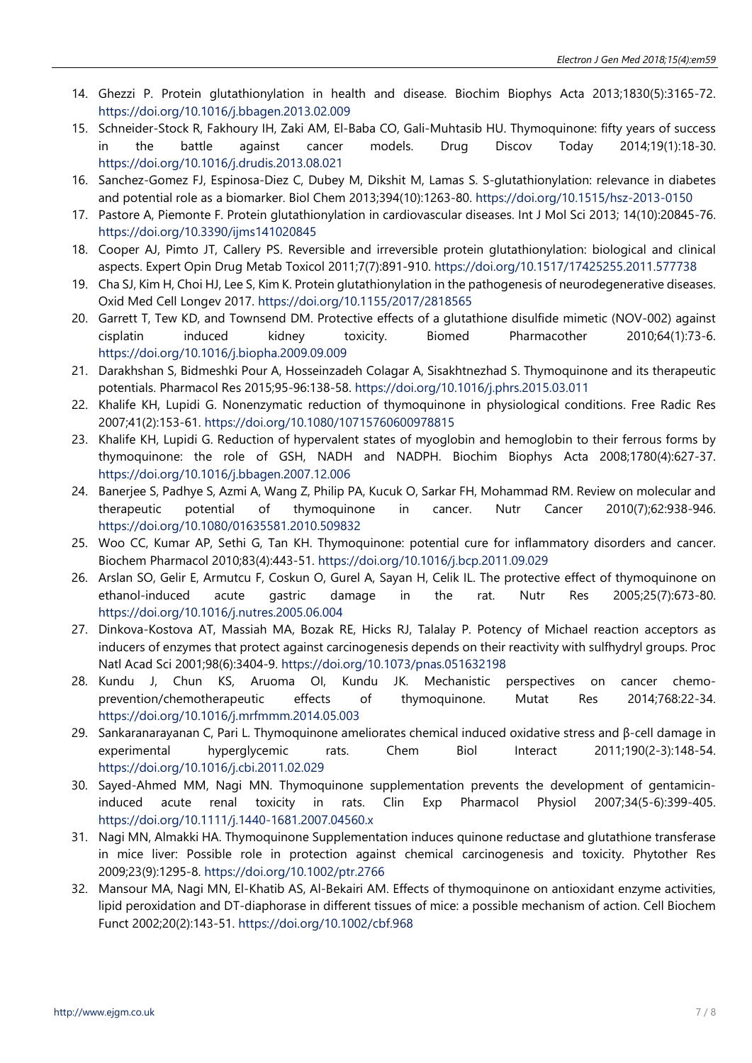- 14. Ghezzi P. Protein glutathionylation in health and disease. Biochim Biophys Acta 2013;1830(5):3165-72. <https://doi.org/10.1016/j.bbagen.2013.02.009>
- 15. Schneider-Stock R, Fakhoury IH, Zaki AM, El-Baba CO, Gali-Muhtasib HU. Thymoquinone: fifty years of success in the battle against cancer models. Drug Discov Today 2014;19(1):18-30. <https://doi.org/10.1016/j.drudis.2013.08.021>
- 16. Sanchez-Gomez FJ, Espinosa-Diez C, Dubey M, Dikshit M, Lamas S. S-glutathionylation: relevance in diabetes and potential role as a biomarker. Biol Chem 2013;394(10):1263-80. <https://doi.org/10.1515/hsz-2013-0150>
- 17. Pastore A, Piemonte F. Protein glutathionylation in cardiovascular diseases. Int J Mol Sci 2013; 14(10):20845-76. <https://doi.org/10.3390/ijms141020845>
- 18. Cooper AJ, Pimto JT, Callery PS. Reversible and irreversible protein glutathionylation: biological and clinical aspects. Expert Opin Drug Metab Toxicol 2011;7(7):891-910.<https://doi.org/10.1517/17425255.2011.577738>
- 19. Cha SJ, Kim H, Choi HJ, Lee S, Kim K. Protein glutathionylation in the pathogenesis of neurodegenerative diseases. Oxid Med Cell Longev 2017.<https://doi.org/10.1155/2017/2818565>
- 20. Garrett T, Tew KD, and Townsend DM. Protective effects of a glutathione disulfide mimetic (NOV-002) against cisplatin induced kidney toxicity. Biomed Pharmacother 2010;64(1):73-6. <https://doi.org/10.1016/j.biopha.2009.09.009>
- 21. Darakhshan S, Bidmeshki Pour A, Hosseinzadeh Colagar A, Sisakhtnezhad S. Thymoquinone and its therapeutic potentials. Pharmacol Res 2015;95-96:138-58.<https://doi.org/10.1016/j.phrs.2015.03.011>
- 22. Khalife KH, Lupidi G. Nonenzymatic reduction of thymoquinone in physiological conditions. Free Radic Res 2007;41(2):153-61. <https://doi.org/10.1080/10715760600978815>
- 23. Khalife KH, Lupidi G. Reduction of hypervalent states of myoglobin and hemoglobin to their ferrous forms by thymoquinone: the role of GSH, NADH and NADPH. Biochim Biophys Acta 2008;1780(4):627-37. <https://doi.org/10.1016/j.bbagen.2007.12.006>
- 24. Banerjee S, Padhye S, Azmi A, Wang Z, Philip PA, Kucuk O, Sarkar FH, Mohammad RM. Review on molecular and therapeutic potential of thymoquinone in cancer. Nutr Cancer 2010(7);62:938-946. <https://doi.org/10.1080/01635581.2010.509832>
- 25. Woo CC, Kumar AP, Sethi G, Tan KH. Thymoquinone: potential cure for inflammatory disorders and cancer. Biochem Pharmacol 2010;83(4):443-51.<https://doi.org/10.1016/j.bcp.2011.09.029>
- 26. Arslan SO, Gelir E, Armutcu F, Coskun O, Gurel A, Sayan H, Celik IL. The protective effect of thymoquinone on ethanol-induced acute gastric damage in the rat. Nutr Res 2005;25(7):673-80. <https://doi.org/10.1016/j.nutres.2005.06.004>
- 27. Dinkova-Kostova AT, Massiah MA, Bozak RE, Hicks RJ, Talalay P. Potency of Michael reaction acceptors as inducers of enzymes that protect against carcinogenesis depends on their reactivity with sulfhydryl groups. Proc Natl Acad Sci 2001;98(6):3404-9. <https://doi.org/10.1073/pnas.051632198>
- 28. Kundu J, Chun KS, Aruoma OI, Kundu JK. Mechanistic perspectives on cancer chemoprevention/chemotherapeutic effects of thymoquinone. Mutat Res 2014;768:22-34. <https://doi.org/10.1016/j.mrfmmm.2014.05.003>
- 29. Sankaranarayanan C, Pari L. Thymoquinone ameliorates chemical induced oxidative stress and β-cell damage in experimental hyperglycemic rats. Chem Biol Interact 2011;190(2-3):148-54. <https://doi.org/10.1016/j.cbi.2011.02.029>
- 30. Sayed-Ahmed MM, Nagi MN. Thymoquinone supplementation prevents the development of gentamicininduced acute renal toxicity in rats. Clin Exp Pharmacol Physiol 2007;34(5-6):399-405. <https://doi.org/10.1111/j.1440-1681.2007.04560.x>
- 31. Nagi MN, Almakki HA. Thymoquinone Supplementation induces quinone reductase and glutathione transferase in mice liver: Possible role in protection against chemical carcinogenesis and toxicity. Phytother Res 2009;23(9):1295-8. <https://doi.org/10.1002/ptr.2766>
- 32. Mansour MA, Nagi MN, El-Khatib AS, Al-Bekairi AM. Effects of thymoquinone on antioxidant enzyme activities, lipid peroxidation and DT-diaphorase in different tissues of mice: a possible mechanism of action. Cell Biochem Funct 2002;20(2):143-51.<https://doi.org/10.1002/cbf.968>